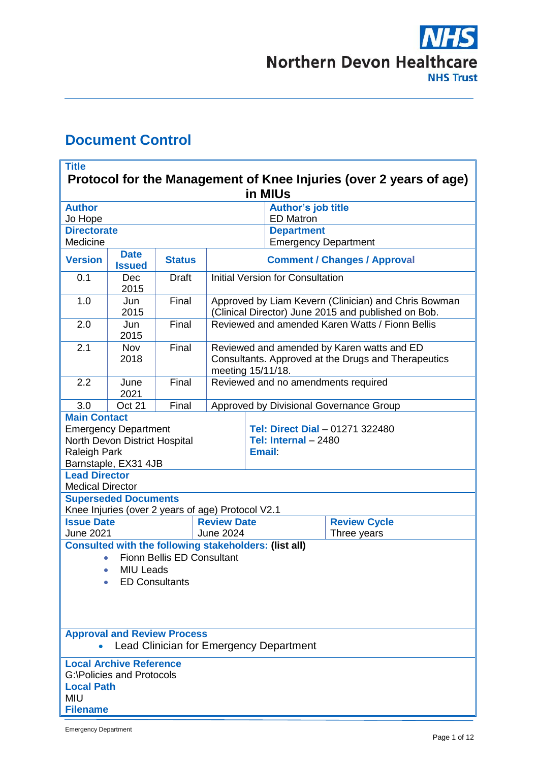# **NHS Northern Devon Healthcare NHS Trust**

# <span id="page-0-0"></span>**Document Control**

| <b>Title</b><br>Protocol for the Management of Knee Injuries (over 2 years of age)                                                             |                              |                                                   |                                                                                                                        |               |                                                          |  |  |  |  |  |  |
|------------------------------------------------------------------------------------------------------------------------------------------------|------------------------------|---------------------------------------------------|------------------------------------------------------------------------------------------------------------------------|---------------|----------------------------------------------------------|--|--|--|--|--|--|
| in MIUs                                                                                                                                        |                              |                                                   |                                                                                                                        |               |                                                          |  |  |  |  |  |  |
| <b>Author</b>                                                                                                                                  |                              |                                                   |                                                                                                                        |               | <b>Author's job title</b>                                |  |  |  |  |  |  |
| Jo Hope                                                                                                                                        |                              |                                                   |                                                                                                                        |               | <b>ED Matron</b>                                         |  |  |  |  |  |  |
| <b>Directorate</b>                                                                                                                             |                              |                                                   |                                                                                                                        |               | <b>Department</b>                                        |  |  |  |  |  |  |
| Medicine                                                                                                                                       |                              |                                                   |                                                                                                                        |               | <b>Emergency Department</b>                              |  |  |  |  |  |  |
| <b>Version</b>                                                                                                                                 | <b>Date</b><br><b>Issued</b> | <b>Status</b>                                     | <b>Comment / Changes / Approval</b>                                                                                    |               |                                                          |  |  |  |  |  |  |
| 0.1                                                                                                                                            | <b>Dec</b><br>2015           | <b>Draft</b>                                      | <b>Initial Version for Consultation</b>                                                                                |               |                                                          |  |  |  |  |  |  |
| 1.0                                                                                                                                            | Jun<br>2015                  | Final                                             | Approved by Liam Kevern (Clinician) and Chris Bowman<br>(Clinical Director) June 2015 and published on Bob.            |               |                                                          |  |  |  |  |  |  |
| 2.0                                                                                                                                            | Jun<br>2015                  | Final                                             | Reviewed and amended Karen Watts / Fionn Bellis                                                                        |               |                                                          |  |  |  |  |  |  |
| 2.1                                                                                                                                            | <b>Nov</b><br>2018           | Final                                             | Reviewed and amended by Karen watts and ED<br>Consultants. Approved at the Drugs and Therapeutics<br>meeting 15/11/18. |               |                                                          |  |  |  |  |  |  |
| 2.2                                                                                                                                            | June<br>2021                 | Final                                             | Reviewed and no amendments required                                                                                    |               |                                                          |  |  |  |  |  |  |
| 3.0                                                                                                                                            | Oct 21                       | Final                                             |                                                                                                                        |               | Approved by Divisional Governance Group                  |  |  |  |  |  |  |
| <b>Main Contact</b><br><b>Emergency Department</b><br>North Devon District Hospital<br>Raleigh Park<br>Barnstaple, EX31 4JB                    |                              |                                                   |                                                                                                                        | <b>Email:</b> | Tel: Direct Dial - 01271 322480<br>Tel: Internal $-2480$ |  |  |  |  |  |  |
| <b>Lead Director</b><br><b>Medical Director</b>                                                                                                |                              |                                                   |                                                                                                                        |               |                                                          |  |  |  |  |  |  |
|                                                                                                                                                | <b>Superseded Documents</b>  | Knee Injuries (over 2 years of age) Protocol V2.1 |                                                                                                                        |               |                                                          |  |  |  |  |  |  |
| <b>Issue Date</b>                                                                                                                              |                              |                                                   | <b>Review Date</b>                                                                                                     |               | <b>Review Cycle</b>                                      |  |  |  |  |  |  |
| <b>June 2021</b>                                                                                                                               |                              |                                                   | <b>June 2024</b>                                                                                                       |               | Three years                                              |  |  |  |  |  |  |
| <b>Consulted with the following stakeholders: (list all)</b><br><b>Fionn Bellis ED Consultant</b><br><b>MIU Leads</b><br><b>ED Consultants</b> |                              |                                                   |                                                                                                                        |               |                                                          |  |  |  |  |  |  |
|                                                                                                                                                |                              | <b>Approval and Review Process</b>                |                                                                                                                        |               |                                                          |  |  |  |  |  |  |
| <b>Lead Clinician for Emergency Department</b>                                                                                                 |                              |                                                   |                                                                                                                        |               |                                                          |  |  |  |  |  |  |
| <b>Local Archive Reference</b><br><b>G:\Policies and Protocols</b><br><b>Local Path</b><br><b>MIU</b><br><b>Filename</b>                       |                              |                                                   |                                                                                                                        |               |                                                          |  |  |  |  |  |  |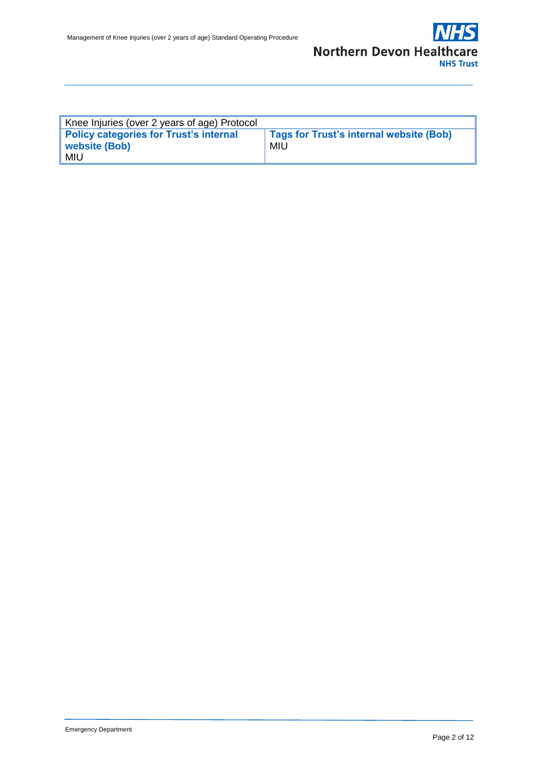

| Knee Injuries (over 2 years of age) Protocol |                                         |  |  |  |
|----------------------------------------------|-----------------------------------------|--|--|--|
| Policy categories for Trust's internal       | Tags for Trust's internal website (Bob) |  |  |  |
| website (Bob)                                | <b>MIU</b>                              |  |  |  |
| MIU                                          |                                         |  |  |  |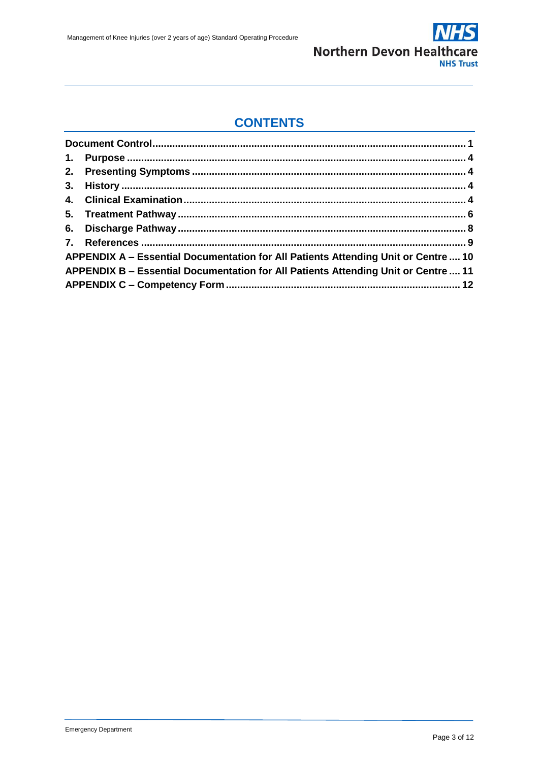

## **CONTENTS**

| APPENDIX A - Essential Documentation for All Patients Attending Unit or Centre 10  |  |
|------------------------------------------------------------------------------------|--|
| APPENDIX B - Essential Documentation for All Patients Attending Unit or Centre  11 |  |
|                                                                                    |  |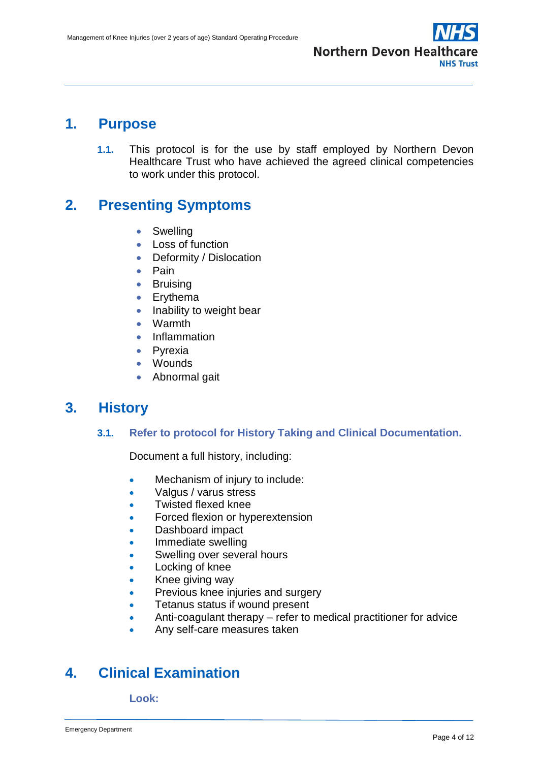

## <span id="page-3-0"></span>**1. Purpose**

**1.1.** This protocol is for the use by staff employed by Northern Devon Healthcare Trust who have achieved the agreed clinical competencies to work under this protocol.

## <span id="page-3-1"></span>**2. Presenting Symptoms**

- **•** Swelling
- Loss of function
- Deformity / Dislocation
- $\bullet$  Pain
- **•** Bruising
- Erythema
- $\bullet$  Inability to weight bear
- Warmth
- Inflammation
- Pyrexia
- Wounds
- Abnormal gait

## <span id="page-3-2"></span>**3. History**

### **3.1. Refer to protocol for History Taking and Clinical Documentation.**

Document a full history, including:

- Mechanism of injury to include:
- Valgus / varus stress
- Twisted flexed knee
- Forced flexion or hyperextension
- Dashboard impact
- Immediate swelling
- Swelling over several hours
- Locking of knee
- Knee giving way
- Previous knee injuries and surgery
- Tetanus status if wound present
- Anti-coagulant therapy refer to medical practitioner for advice
- Any self-care measures taken

## <span id="page-3-3"></span>**4. Clinical Examination**

**Look:**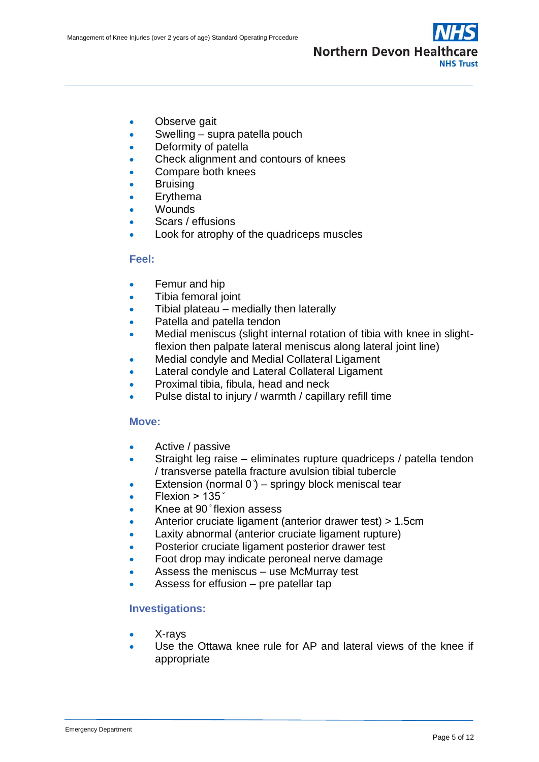

- Observe gait
- Swelling supra patella pouch
- Deformity of patella
- Check alignment and contours of knees
- Compare both knees
- Bruising
- Ervthema
- Wounds
- Scars / effusions
- Look for atrophy of the quadriceps muscles

### **Feel:**

- Femur and hip
- Tibia femoral joint
- Tibial plateau medially then laterally
- Patella and patella tendon
- Medial meniscus (slight internal rotation of tibia with knee in slightflexion then palpate lateral meniscus along lateral joint line)
- Medial condyle and Medial Collateral Ligament
- **Lateral condyle and Lateral Collateral Ligament**
- Proximal tibia, fibula, head and neck
- Pulse distal to injury / warmth / capillary refill time

### **Move:**

- Active / passive
- Straight leg raise eliminates rupture quadriceps / patella tendon / transverse patella fracture avulsion tibial tubercle
- Extension (normal  $0$ ) springy block meniscal tear
- $\bullet$  Flexion > 135 $\degree$
- Knee at 90 ̊flexion assess
- Anterior cruciate ligament (anterior drawer test) > 1.5cm
- Laxity abnormal (anterior cruciate ligament rupture)
- Posterior cruciate ligament posterior drawer test
- Foot drop may indicate peroneal nerve damage
- Assess the meniscus use McMurray test
- Assess for effusion pre patellar tap

## **Investigations:**

- X-rays
- Use the Ottawa knee rule for AP and lateral views of the knee if appropriate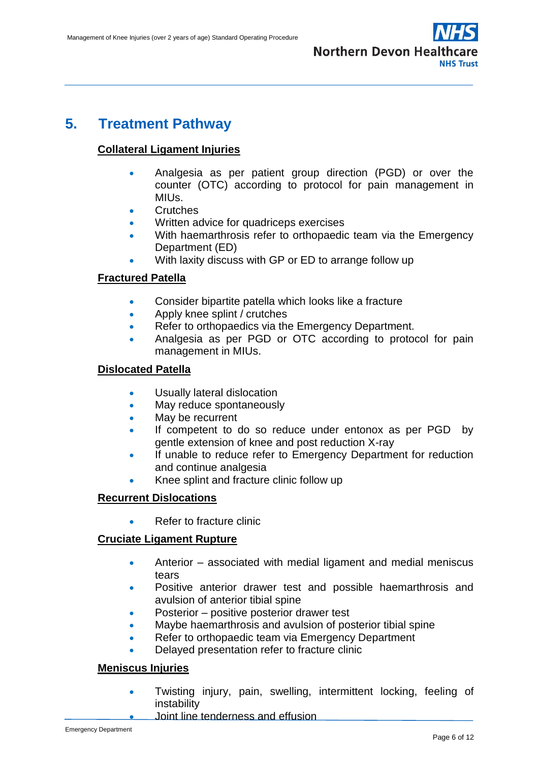

## <span id="page-5-0"></span>**5. Treatment Pathway**

## **Collateral Ligament Injuries**

- Analgesia as per patient group direction (PGD) or over the counter (OTC) according to protocol for pain management in MIUs.
- **Crutches**
- Written advice for quadriceps exercises
- With haemarthrosis refer to orthopaedic team via the Emergency Department (ED)
- With laxity discuss with GP or ED to arrange follow up

## **Fractured Patella**

- Consider bipartite patella which looks like a fracture
- Apply knee splint / crutches
- Refer to orthopaedics via the Emergency Department.
- Analgesia as per PGD or OTC according to protocol for pain management in MIUs.

## **Dislocated Patella**

- Usually lateral dislocation
- May reduce spontaneously
- May be recurrent
- If competent to do so reduce under entonox as per PGD by gentle extension of knee and post reduction X-ray
- If unable to reduce refer to Emergency Department for reduction and continue analgesia
- Knee splint and fracture clinic follow up

### **Recurrent Dislocations**

Refer to fracture clinic

### **Cruciate Ligament Rupture**

- Anterior associated with medial ligament and medial meniscus tears
- Positive anterior drawer test and possible haemarthrosis and avulsion of anterior tibial spine
- Posterior positive posterior drawer test
- Maybe haemarthrosis and avulsion of posterior tibial spine
- Refer to orthopaedic team via Emergency Department
- Delayed presentation refer to fracture clinic

## **Meniscus Injuries**

- Twisting injury, pain, swelling, intermittent locking, feeling of instability
	- Joint line tenderness and effusion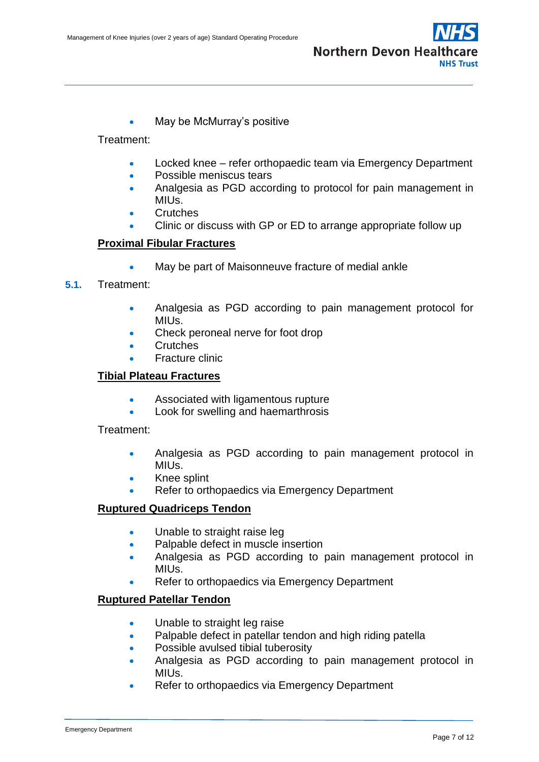

May be McMurray's positive

Treatment:

- Locked knee refer orthopaedic team via Emergency Department
- Possible meniscus tears
- Analgesia as PGD according to protocol for pain management in MIUs.
- **Crutches**
- Clinic or discuss with GP or ED to arrange appropriate follow up

## **Proximal Fibular Fractures**

May be part of Maisonneuve fracture of medial ankle

## **5.1.** Treatment:

- Analgesia as PGD according to pain management protocol for MIUs.
- Check peroneal nerve for foot drop
- **Crutches**
- Fracture clinic

## **Tibial Plateau Fractures**

- Associated with ligamentous rupture
- Look for swelling and haemarthrosis

### Treatment:

- Analgesia as PGD according to pain management protocol in MIUs.
- Knee splint
- Refer to orthopaedics via Emergency Department

### **Ruptured Quadriceps Tendon**

- Unable to straight raise leg
- Palpable defect in muscle insertion
- Analgesia as PGD according to pain management protocol in MIUs.
- Refer to orthopaedics via Emergency Department

## **Ruptured Patellar Tendon**

- Unable to straight leg raise
- Palpable defect in patellar tendon and high riding patella
- Possible avulsed tibial tuberosity
- Analgesia as PGD according to pain management protocol in MIUs.
- Refer to orthopaedics via Emergency Department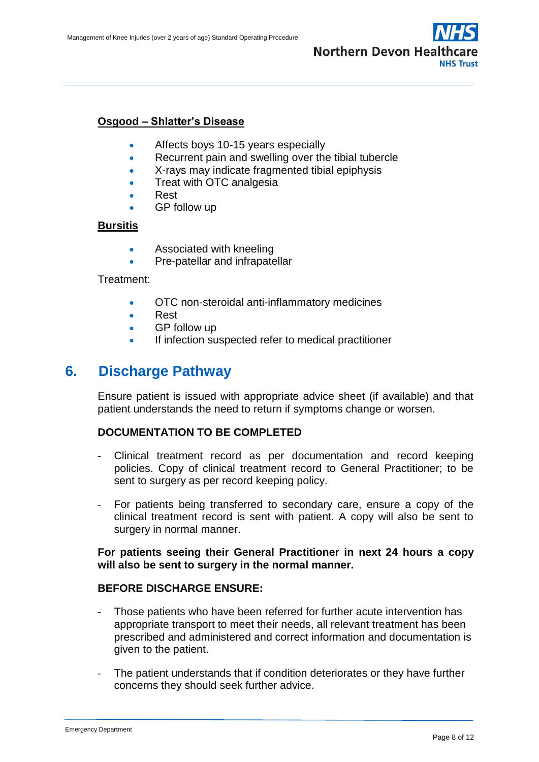

### **Osgood – Shlatter's Disease**

- Affects boys 10-15 years especially
- Recurrent pain and swelling over the tibial tubercle
- X-rays may indicate fragmented tibial epiphysis
- Treat with OTC analgesia
- Rest
- GP follow up

#### **Bursitis**

- **Associated with kneeling**
- Pre-patellar and infrapatellar

Treatment:

- OTC non-steroidal anti-inflammatory medicines
- Rest
- GP follow up
- If infection suspected refer to medical practitioner

## <span id="page-7-0"></span>**6. Discharge Pathway**

Ensure patient is issued with appropriate advice sheet (if available) and that patient understands the need to return if symptoms change or worsen.

#### **DOCUMENTATION TO BE COMPLETED**

- Clinical treatment record as per documentation and record keeping policies. Copy of clinical treatment record to General Practitioner; to be sent to surgery as per record keeping policy.
- For patients being transferred to secondary care, ensure a copy of the clinical treatment record is sent with patient. A copy will also be sent to surgery in normal manner.

### **For patients seeing their General Practitioner in next 24 hours a copy will also be sent to surgery in the normal manner.**

#### **BEFORE DISCHARGE ENSURE:**

- Those patients who have been referred for further acute intervention has appropriate transport to meet their needs, all relevant treatment has been prescribed and administered and correct information and documentation is given to the patient.
- The patient understands that if condition deteriorates or they have further concerns they should seek further advice.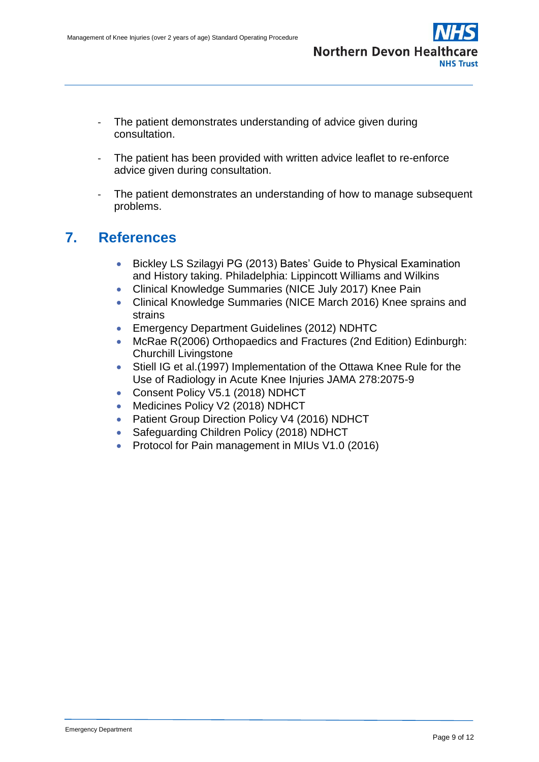

- The patient demonstrates understanding of advice given during consultation.
- The patient has been provided with written advice leaflet to re-enforce advice given during consultation.
- The patient demonstrates an understanding of how to manage subsequent problems.

## <span id="page-8-0"></span>**7. References**

- Bickley LS Szilagyi PG (2013) Bates' Guide to Physical Examination and History taking. Philadelphia: Lippincott Williams and Wilkins
- Clinical Knowledge Summaries (NICE July 2017) Knee Pain
- Clinical Knowledge Summaries (NICE March 2016) Knee sprains and strains
- Emergency Department Guidelines (2012) NDHTC
- McRae R(2006) Orthopaedics and Fractures (2nd Edition) Edinburgh: Churchill Livingstone
- Stiell IG et al.(1997) Implementation of the Ottawa Knee Rule for the Use of Radiology in Acute Knee Injuries JAMA 278:2075-9
- Consent Policy V5.1 (2018) NDHCT
- Medicines Policy V2 (2018) NDHCT
- Patient Group Direction Policy V4 (2016) NDHCT
- Safeguarding Children Policy (2018) NDHCT
- Protocol for Pain management in MIUs V1.0 (2016)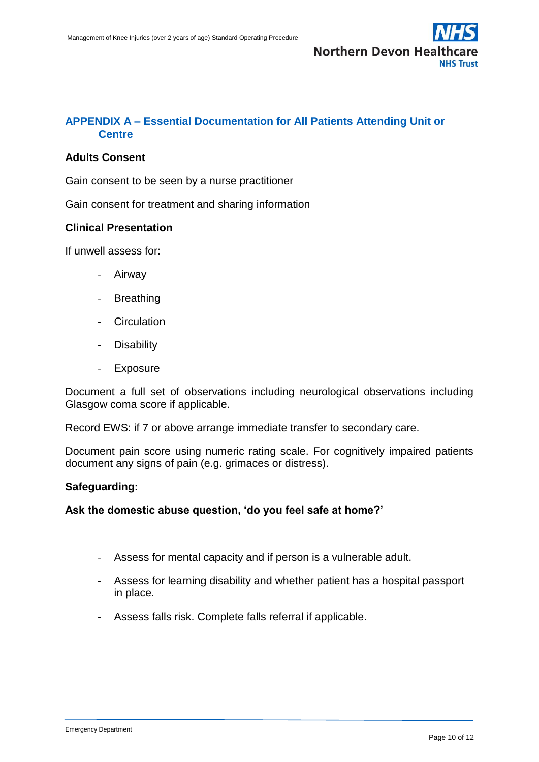

## <span id="page-9-0"></span>**APPENDIX A – Essential Documentation for All Patients Attending Unit or Centre**

## **Adults Consent**

Gain consent to be seen by a nurse practitioner

Gain consent for treatment and sharing information

#### **Clinical Presentation**

If unwell assess for:

- Airway
- Breathing
- Circulation
- **Disability**
- **Exposure**

Document a full set of observations including neurological observations including Glasgow coma score if applicable.

Record EWS: if 7 or above arrange immediate transfer to secondary care.

Document pain score using numeric rating scale. For cognitively impaired patients document any signs of pain (e.g. grimaces or distress).

#### **Safeguarding:**

**Ask the domestic abuse question, 'do you feel safe at home?'**

- Assess for mental capacity and if person is a vulnerable adult.
- Assess for learning disability and whether patient has a hospital passport in place.
- Assess falls risk. Complete falls referral if applicable.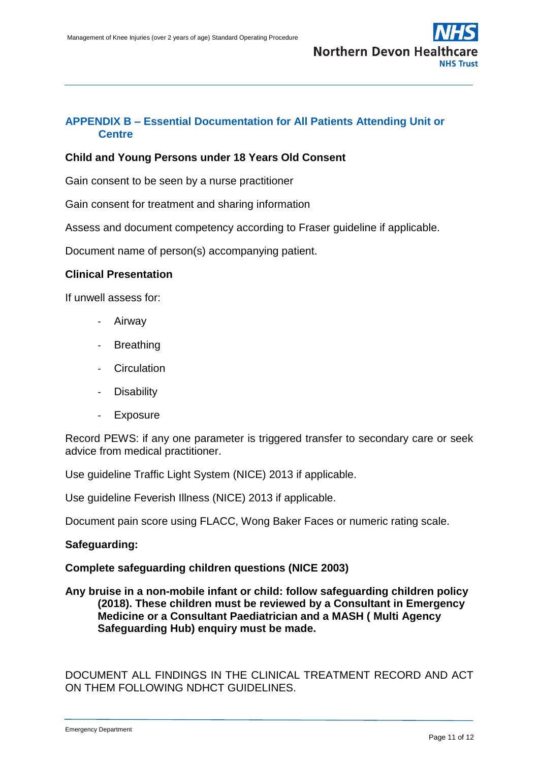

## <span id="page-10-0"></span>**APPENDIX B – Essential Documentation for All Patients Attending Unit or Centre**

### **Child and Young Persons under 18 Years Old Consent**

Gain consent to be seen by a nurse practitioner

Gain consent for treatment and sharing information

Assess and document competency according to Fraser guideline if applicable.

Document name of person(s) accompanying patient.

### **Clinical Presentation**

If unwell assess for:

- **Airway**
- **Breathing**
- **Circulation**
- Disability
- **Exposure**

Record PEWS: if any one parameter is triggered transfer to secondary care or seek advice from medical practitioner.

Use guideline Traffic Light System (NICE) 2013 if applicable.

Use guideline Feverish Illness (NICE) 2013 if applicable.

Document pain score using FLACC, Wong Baker Faces or numeric rating scale.

#### **Safeguarding:**

#### **Complete safeguarding children questions (NICE 2003)**

**Any bruise in a non-mobile infant or child: follow safeguarding children policy (2018). These children must be reviewed by a Consultant in Emergency Medicine or a Consultant Paediatrician and a MASH ( Multi Agency Safeguarding Hub) enquiry must be made.**

DOCUMENT ALL FINDINGS IN THE CLINICAL TREATMENT RECORD AND ACT ON THEM FOLLOWING NDHCT GUIDELINES.